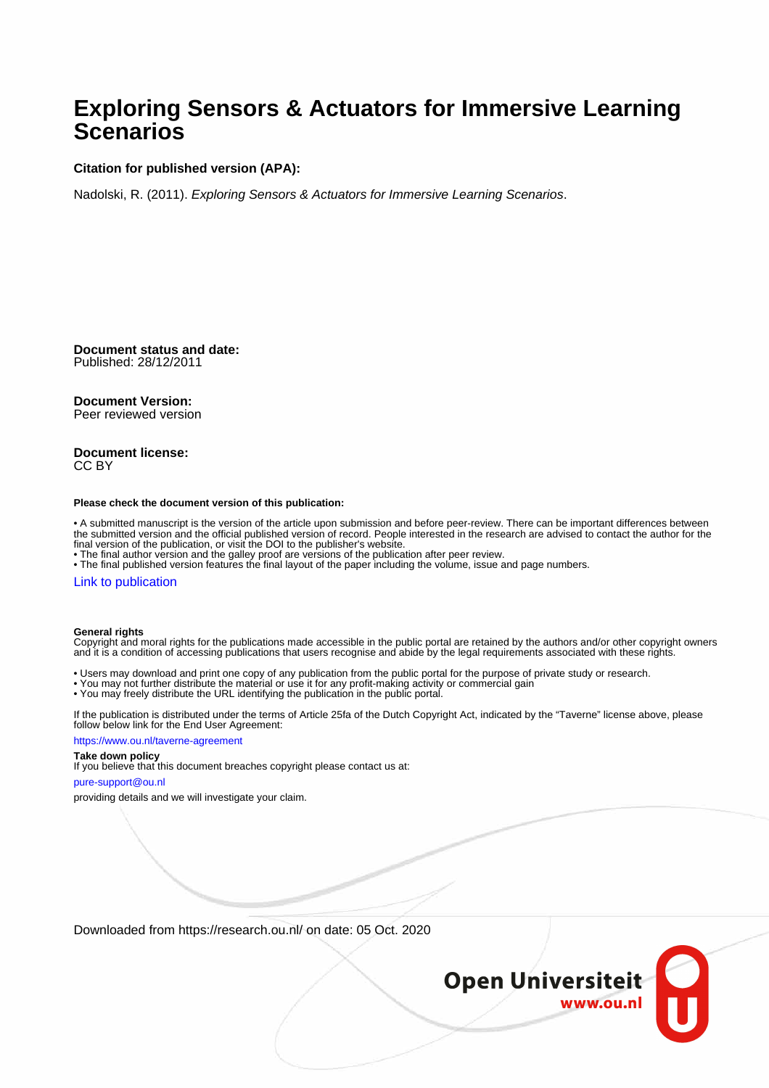### **Exploring Sensors & Actuators for Immersive Learning Scenarios**

### **Citation for published version (APA):**

Nadolski, R. (2011). Exploring Sensors & Actuators for Immersive Learning Scenarios.

**Document status and date:** Published: 28/12/2011

### **Document Version:**

Peer reviewed version

### **Document license:** CC BY

#### **Please check the document version of this publication:**

• A submitted manuscript is the version of the article upon submission and before peer-review. There can be important differences between the submitted version and the official published version of record. People interested in the research are advised to contact the author for the final version of the publication, or visit the DOI to the publisher's website.

• The final author version and the galley proof are versions of the publication after peer review.

• The final published version features the final layout of the paper including the volume, issue and page numbers.

### [Link to publication](https://research.ou.nl/en/publications/a62459b6-9ce9-4aa9-a944-a0a6042ff3a4)

### **General rights**

Copyright and moral rights for the publications made accessible in the public portal are retained by the authors and/or other copyright owners and it is a condition of accessing publications that users recognise and abide by the legal requirements associated with these rights.

- Users may download and print one copy of any publication from the public portal for the purpose of private study or research.
- You may not further distribute the material or use it for any profit-making activity or commercial gain
- You may freely distribute the URL identifying the publication in the public portal.

If the publication is distributed under the terms of Article 25fa of the Dutch Copyright Act, indicated by the "Taverne" license above, please follow below link for the End User Agreement:

#### https://www.ou.nl/taverne-agreement

### **Take down policy**

If you believe that this document breaches copyright please contact us at:

### pure-support@ou.nl

providing details and we will investigate your claim.

Downloaded from https://research.ou.nl/ on date: 05 Oct. 2020

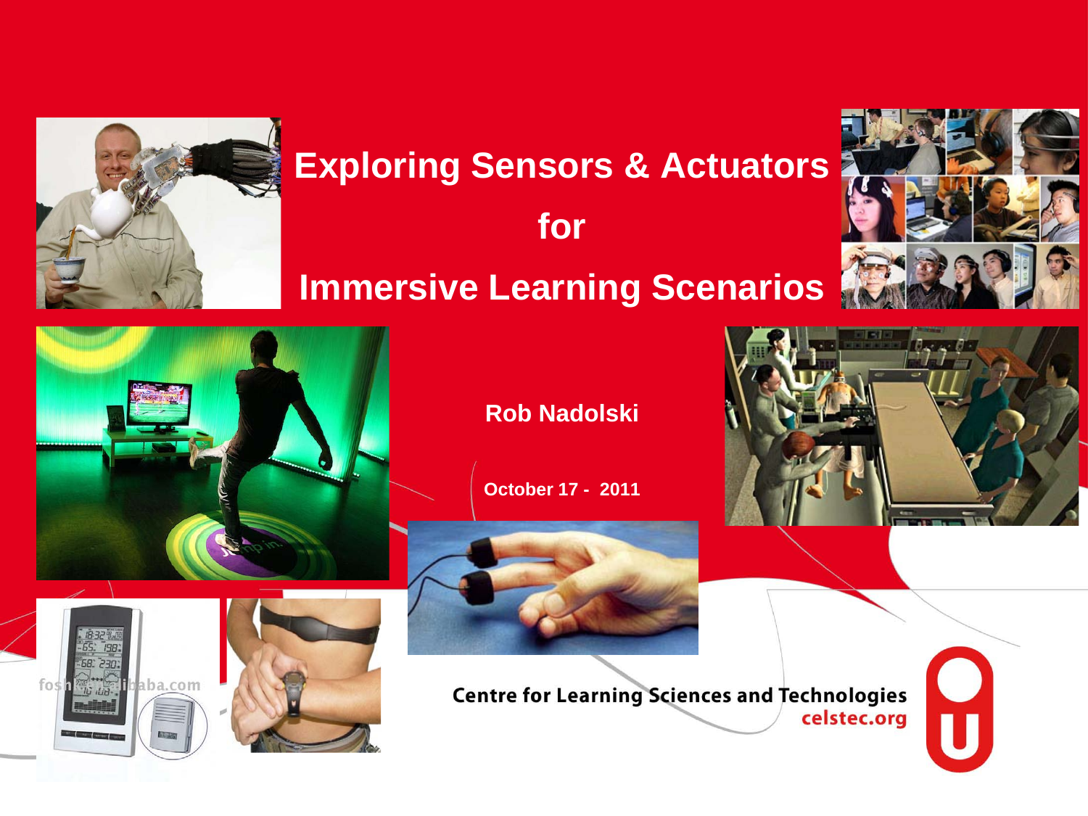

# **Exploring Sensors & Actuators**

# **for Immersive Learning Scenarios**



T



**Rob Nadolski**

**October 17 - 2011**



**Centre for Learning Sciences and Technologies** celstec.org



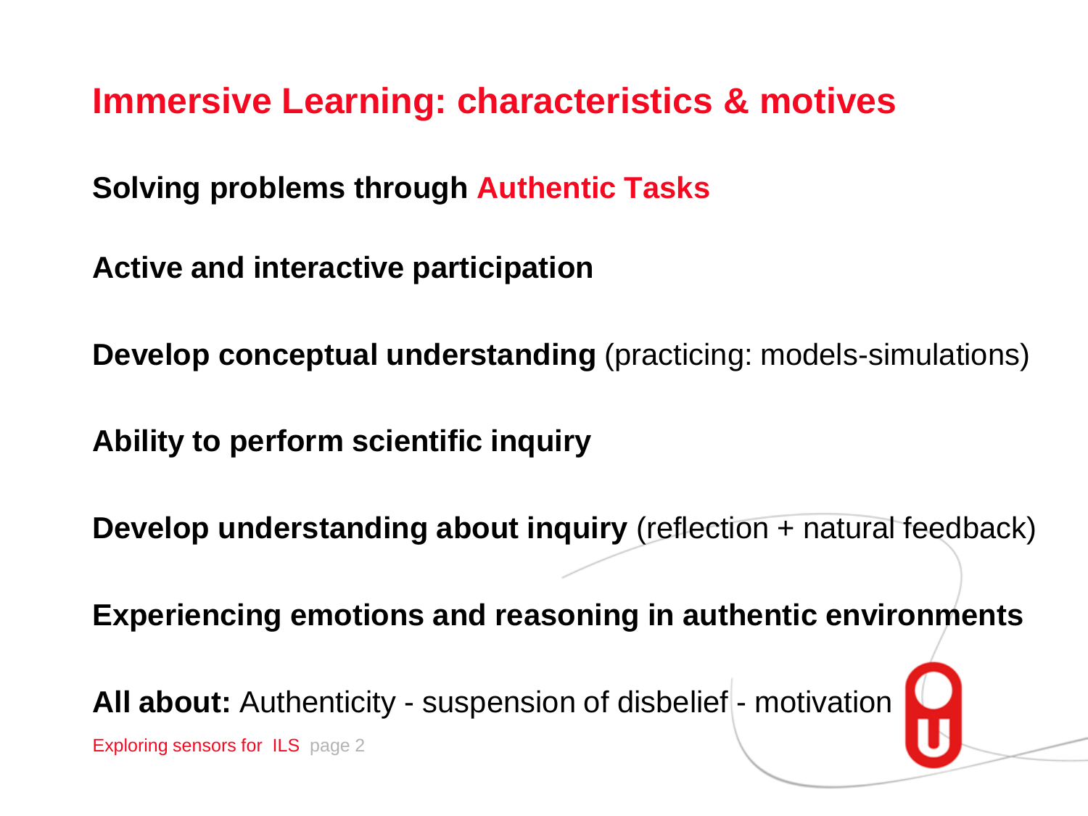**Immersive Learning: characteristics & motives**

**Solving problems through Authentic Tasks**

**Active and interactive participation**

**Develop conceptual understanding** (practicing: models-simulations)

**Ability to perform scientific inquiry**

**Develop understanding about inquiry** (reflection + natural feedback)

**Experiencing emotions and reasoning in authentic environments** 

All about: Authenticity - suspension of disbelief - motivation

Exploring sensors for ILS page 2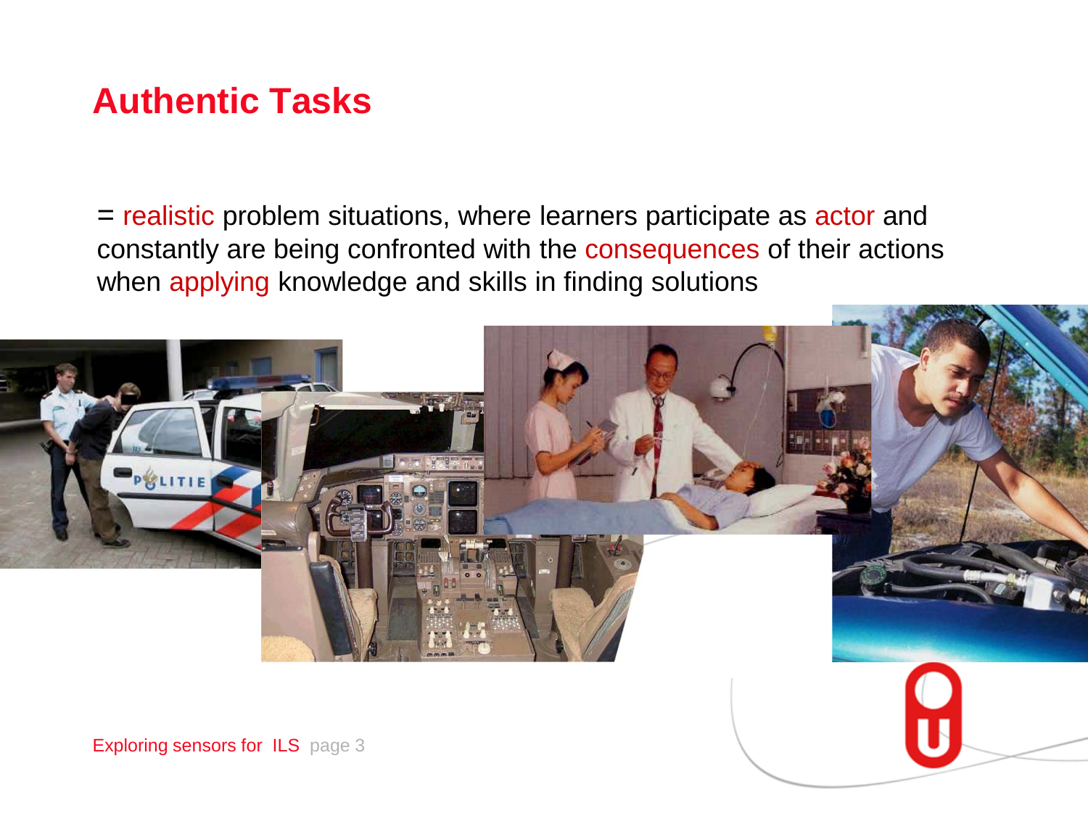# **Authentic Tasks**

*=* realistic problem situations, where learners participate as actor and constantly are being confronted with the consequences of their actions when applying knowledge and skills in finding solutions

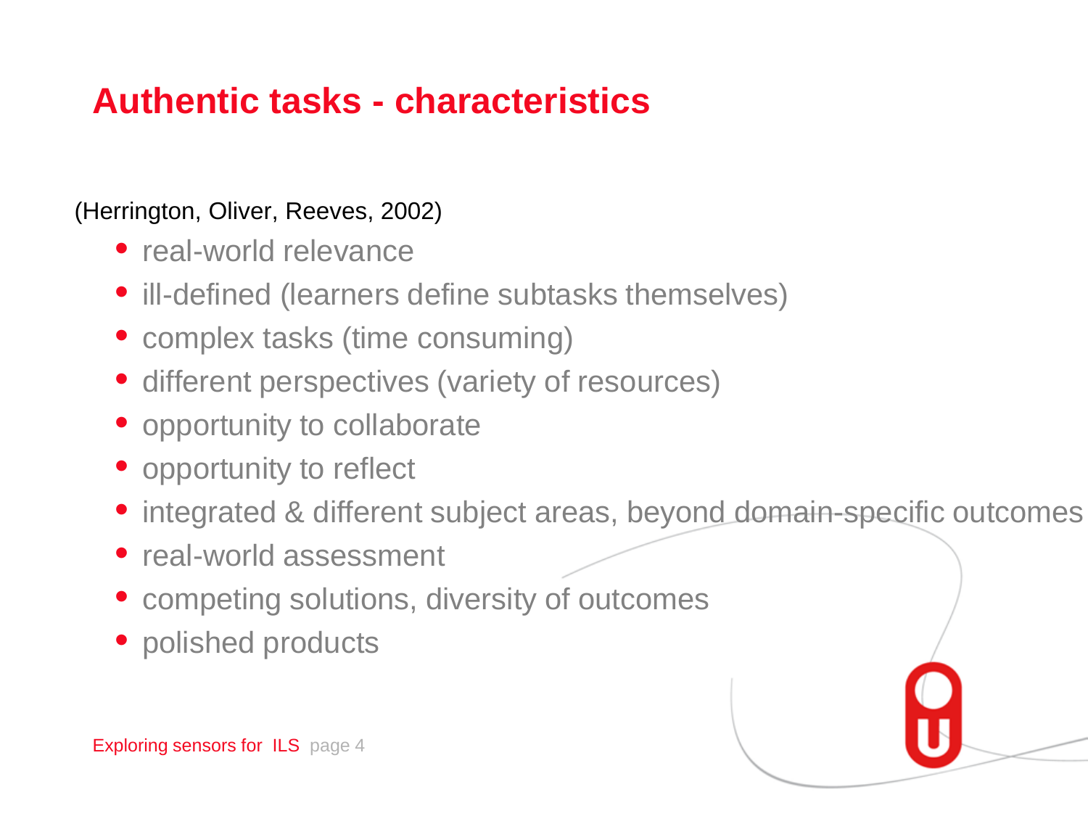# **Authentic tasks - characteristics**

### (Herrington, Oliver, Reeves, 2002)

- real-world relevance
- ill-defined (learners define subtasks themselves)
- complex tasks (time consuming)
- different perspectives (variety of resources)
- opportunity to collaborate
- opportunity to reflect
- integrated & different subject areas, beyond domain-specific outcomes
- real-world assessment
- competing solutions, diversity of outcomes
- polished products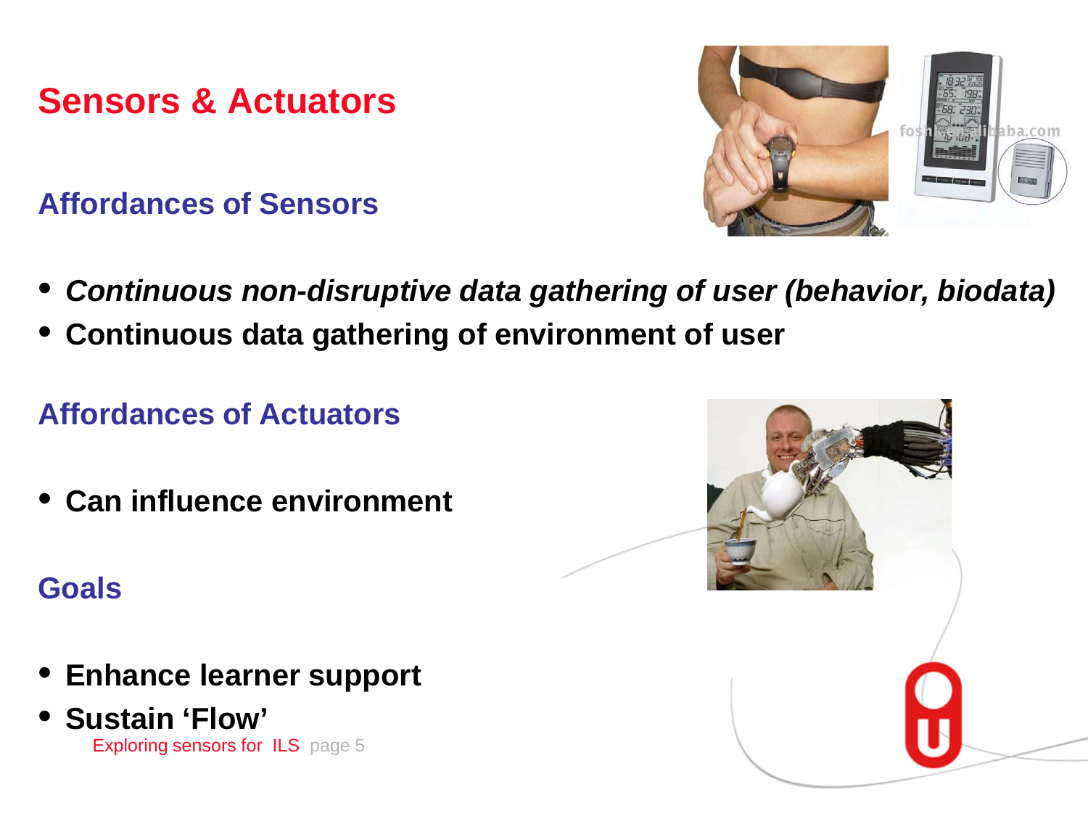**Sensors & Actuators**

**Affordances of Sensors**



- *Continuous non-disruptive data gathering of user (behavior, biodata)*
- **Continuous data gathering of environment of user**

## **Affordances of Actuators**

• **Can influence environment**

**Goals**

- **Enhance learner support**
- Exploring sensors for ILS page 5 • **Sustain 'Flow'**

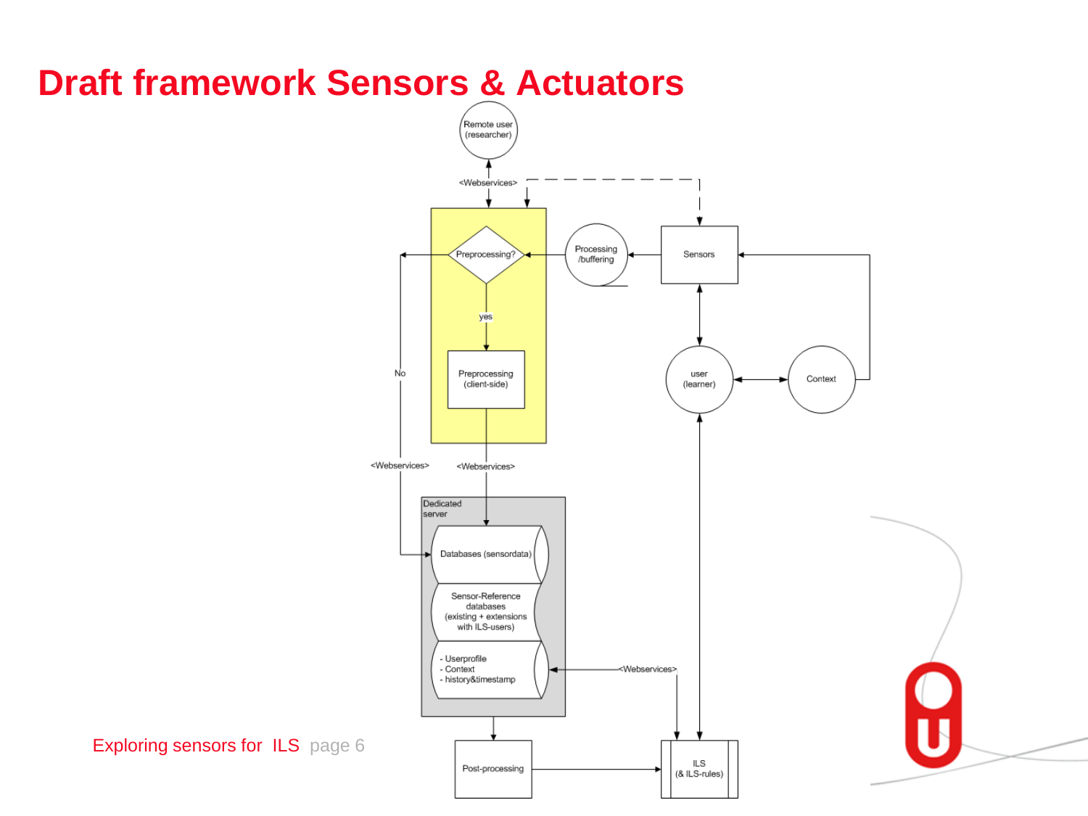# **Draft framework Sensors & Actuators**



Exploring sensors for ILS page 6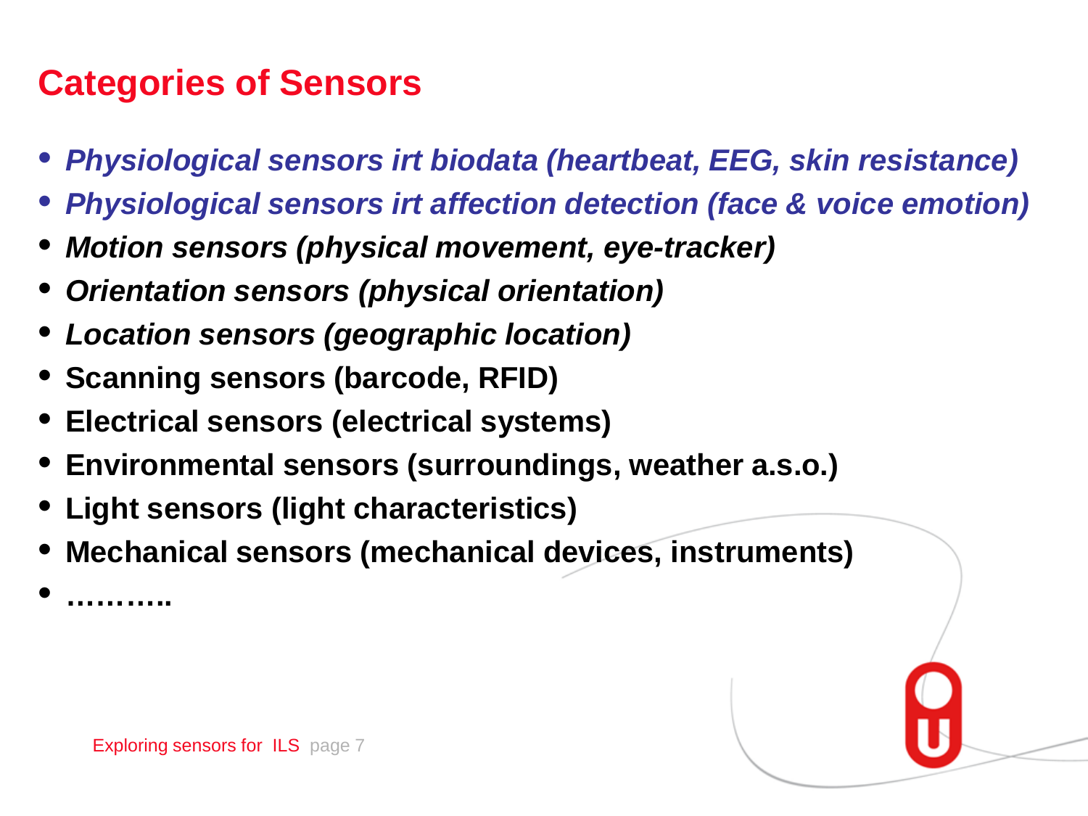# **Categories of Sensors**

- *Physiological sensors irt biodata (heartbeat, EEG, skin resistance)*
- *Physiological sensors irt affection detection (face & voice emotion)*
- *Motion sensors (physical movement, eye-tracker)*
- *Orientation sensors (physical orientation)*
- *Location sensors (geographic location)*
- **Scanning sensors (barcode, RFID)**
- **Electrical sensors (electrical systems)**
- **Environmental sensors (surroundings, weather a.s.o.)**
- **Light sensors (light characteristics)**
- **Mechanical sensors (mechanical devices, instruments)**
- **………..**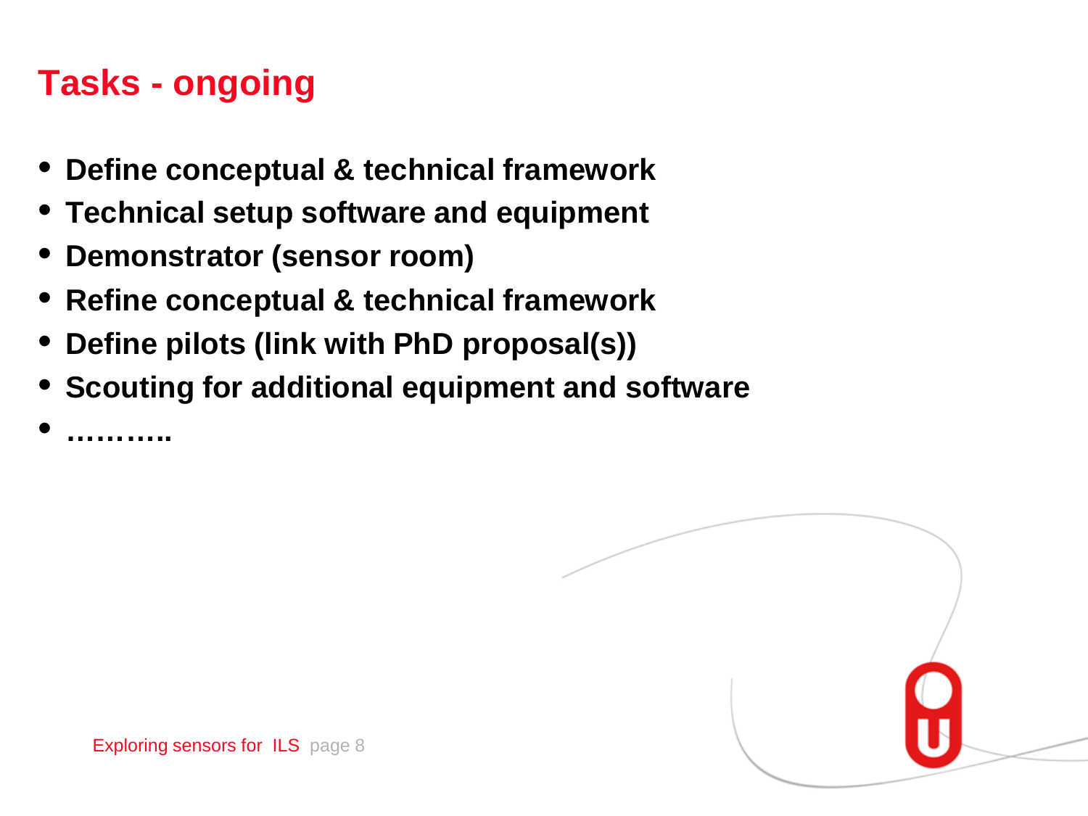# **Tasks - ongoing**

• **………..**

- **Define conceptual & technical framework**
- **Technical setup software and equipment**
- **Demonstrator (sensor room)**
- **Refine conceptual & technical framework**
- **Define pilots (link with PhD proposal(s))**
- **Scouting for additional equipment and software**

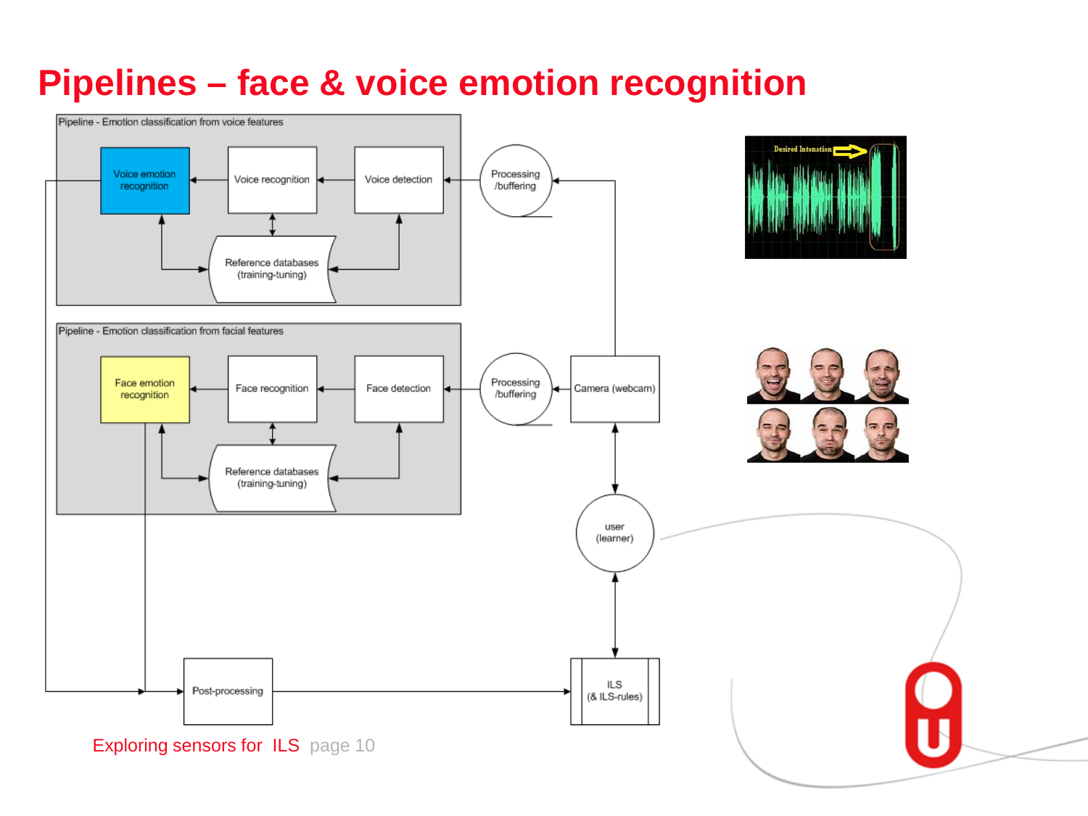# **Pipelines – face & voice emotion recognition**

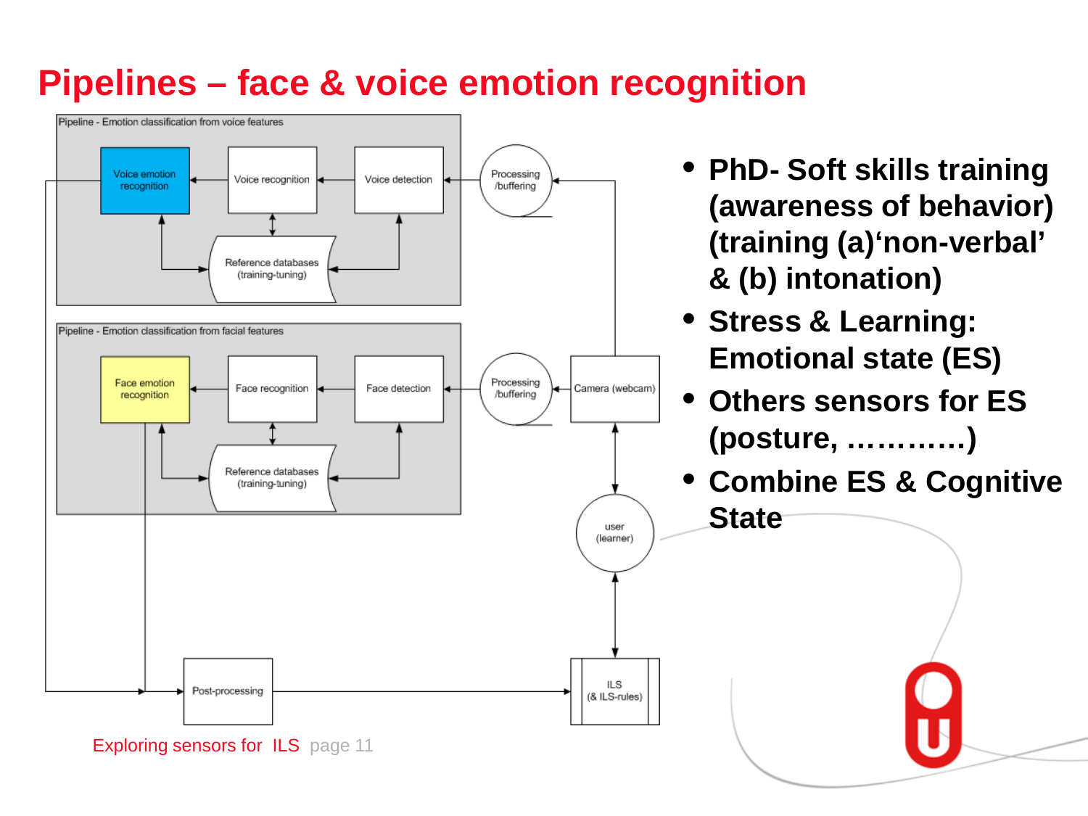# **Pipelines – face & voice emotion recognition**

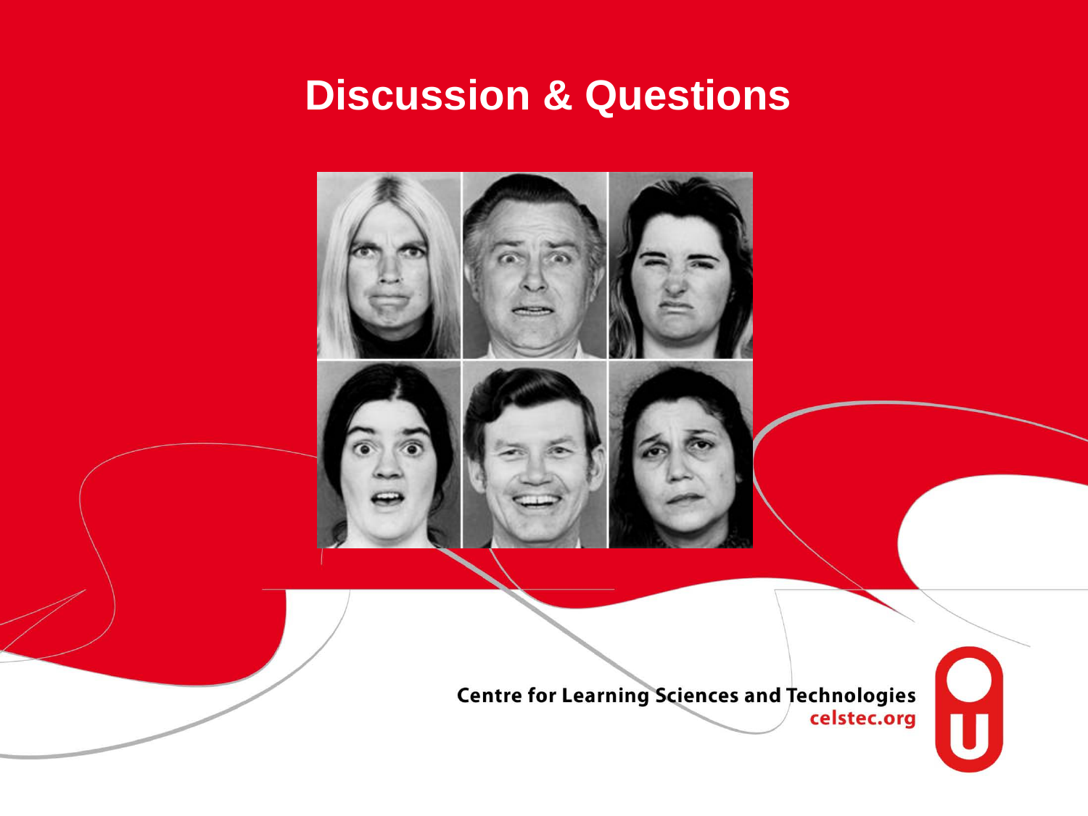# **Discussion & Questions**